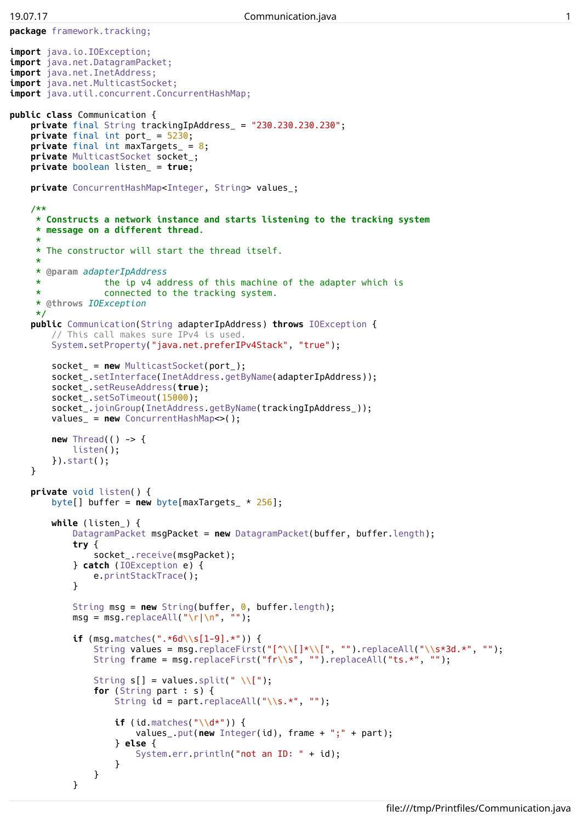```
package framework.tracking;
import java.io.IOException;
import java.net.DatagramPacket;
import java.net.InetAddress;
import java.net.MulticastSocket;
import java.util.concurrent.ConcurrentHashMap;
public class Communication {
     private final String trackingIpAddress_ = "230.230.230.230";
     private final int port_ = 5230;
    private final int maxTargets = 8;
    private MulticastSocket socket_;
    private boolean listen_ = true;
    private ConcurrentHashMap<Integer, String> values_;
     /**
      * Constructs a network instance and starts listening to the tracking system
      * message on a different thread.
      *
      * The constructor will start the thread itself.
      *
      * @param adapterIpAddress
                       * the ip v4 address of this machine of the adapter which is
      * connected to the tracking system.
      * @throws IOException
      */
     public Communication(String adapterIpAddress) throws IOException {
          // This call makes sure IPv4 is used.
          System.setProperty("java.net.preferIPv4Stack", "true");
          socket_ = new MulticastSocket(port_);
          socket_.setInterface(InetAddress.getByName(adapterIpAddress));
          socket_.setReuseAddress(true);
          socket_.setSoTimeout(15000);
          socket_.joinGroup(InetAddress.getByName(trackingIpAddress_));
          values_ = new ConcurrentHashMap<>();
          new Thread(() -> {
               listen();
          }).start();
     }
    private void listen() {
          byte[] buffer = new byte[maxTargets_ * 256];
          while (listen_) {
               DatagramPacket msgPacket = new DatagramPacket(buffer, buffer.length);
               try {
                    socket .receive(msqPacket);
               } catch (IOException e) {
                    e.printStackTrace();
               }
               String msg = new String(buffer, 0, buffer.length);<br>msg = msg.replaceAll("\r|\n", "");
               msg = msg.replaceAll("\r|\n", "if (msg.matches(".*6d\\s[1-9].*")) {
                    String values = msq.replaceFirst("\lceil \cdot \setminus \lceil \cdot \setminus \lceil \cdot \cdot \setminus \lceil \cdot \cdot \setminus \lceil \cdot \cdot \setminus \lceil \cdot \cdot \setminus \lceil \cdot \cdot \setminus \lceil \cdot \cdot \setminus \lceil \cdot \cdot \setminus \lceil \cdot \cdot \setminus \lceil \cdot \cdot \setminus \lceil \cdot \cdot \setminus \lceil \cdot \cdot \setminus \lceil \cdot \cdot \setminus \lceil \cdot \cdot \setminus \lceil \cdot \cdot \setminus \lceil \cdot \cdot \setminus \lceil \cdot \cdot \setminus \lceil \cdot \cdot \setminusString frame = msg.replaceFirst("fr\\s", "").replaceAll("ts.*", ""):
                    String s[] = values.split(" \\[");
                    for (String part : s) {
                         String id = part.\text{replaceAll}("\\S.*", "");if (id.matches("\\d*")) {
                              values_.put(new Integer(id), frame + ";" + part);
                         } else {
                              System.err.println("not an ID: " + id);
                         }
                    }
```
}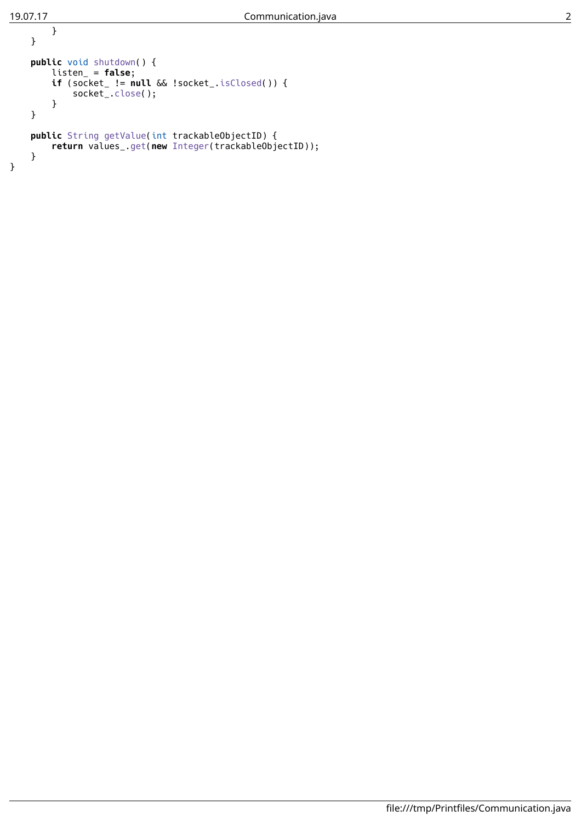```
}
    }
   public void shutdown() {
        listen_ = false;
        if (socket_ != null && !socket_.isClosed()) {
            socket_.close();
        }
    }
    public String getValue(int trackableObjectID) {
        return values_.get(new Integer(trackableObjectID));
    }
}
```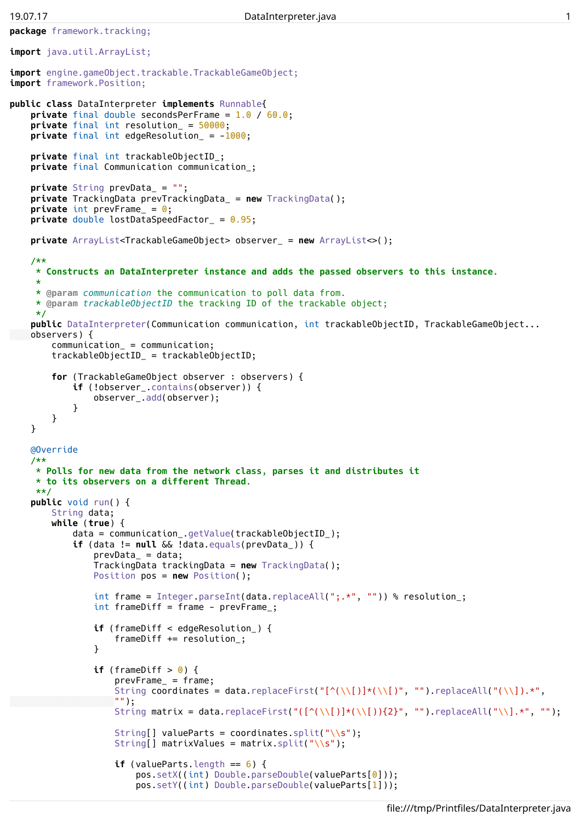**package** framework.tracking;

```
import java.util.ArrayList;
import engine.gameObject.trackable.TrackableGameObject;
import framework.Position;
public class DataInterpreter implements Runnable{
    private final double secondsPerFrame = 1.0 / 60.0;
    private final int resolution_ = 50000;
   private final int edgeResolution_ = -1000;
    private final int trackableObjectID_;
   private final Communication communication_;
   private String prevData_ = "";
    private TrackingData prevTrackingData_ = new TrackingData();
    private int prevFrame_ = 0;
   private double lostDataSpeedFactor_ = 0.95;
   private ArrayList<TrackableGameObject> observer_ = new ArrayList<>();
    /**
    * Constructs an DataInterpreter instance and adds the passed observers to this instance.
     *
    * @param communication the communication to poll data from.
     * @param trackableObjectID the tracking ID of the trackable object;
    */
    public DataInterpreter(Communication communication, int trackableObjectID, TrackableGameObject...
   observers) {
        communication_ = communication;
        trackableObjectID_ = trackableObjectID;
        for (TrackableGameObject observer : observers) {
            if (!observer_.contains(observer)) {
                observer_.add(observer);
            }
        }
    }
   @Override
    /**
     * Polls for new data from the network class, parses it and distributes it
     * to its observers on a different Thread.
    **/
    public void run() {
        String data;
        while (true) {
            data = communication_.getValue(trackableObjectID_);
            if (data != null && !data.equals(prevData_)) {
                prevData = data;TrackingData trackingData = new TrackingData();
                Position pos = new Position();
                int frame = Integer.parseInt(data.replaceAll(";.*", "")) % resolution_;
                int frameDiff = frame - prevFrame<sub>;</sub>
                if (frameDiff < edgeResolution_) {
                    frameDiff += resolution_;
                }
                if (frameDiff > 0) {
                    prevFrame_ = frame;
                    String coordinates = data.replaceFirst("[^{\(\\\)}\ast(\\\)]\ast(\\\)]", "").replaceAll("(\\\)]\ast",
                    "");
                    String matrix = data.replaceFirst("(\lceil(\wedge(\{\})]\star(\{\setminus\})\}2]^n, "").replaceAll("\\].*", "");
                    String[] valueParts = coordinates.split("\\s");
                    String[] matrixValues = matrix.split("\\s");
                    if (valueParts.length == 6) {
                         pos.setX((int) Double.parseDouble(valueParts[0]));
                         pos.setY((int) Double.parseDouble(valueParts[1]));
```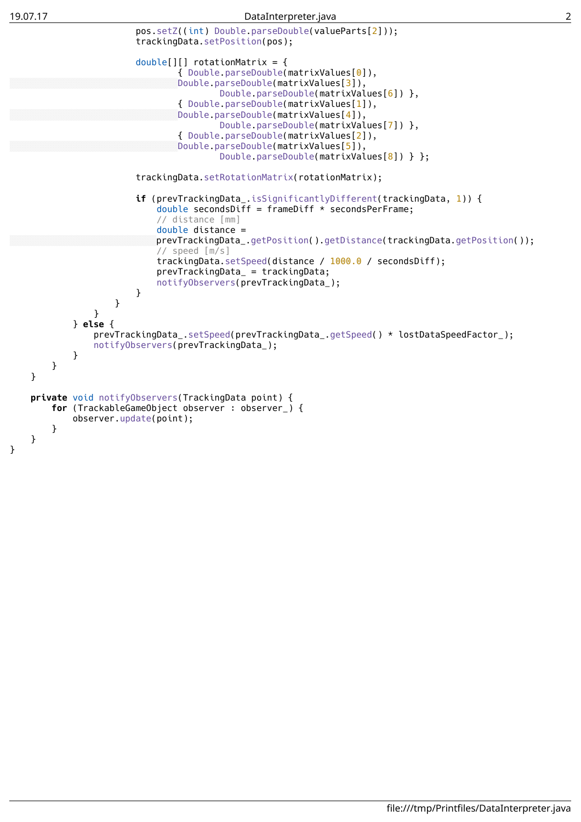## 19.07.17 DataInterpreter.java 2



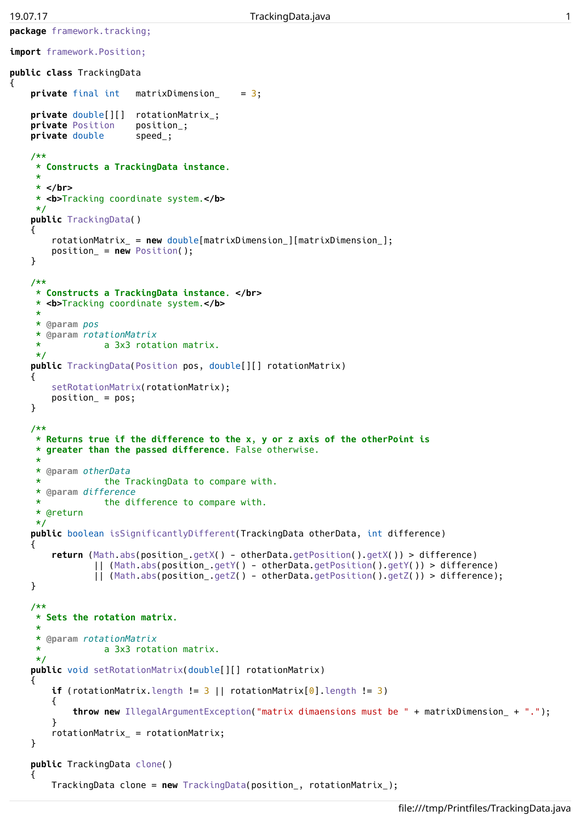{

**package** framework.tracking;

```
import framework.Position;
public class TrackingData
    private final int matrixDimension_ = 3;
   private double[][] rotationMatrix_;
   private Position position_;
   private double speed_;
    /**
    * Constructs a TrackingData instance.
    *
    * </br>
    * <b>cb>Tracking coordinate system.
    */
    public TrackingData()
    \mathcal{L}rotationMatrix_ = new double[matrixDimension_][matrixDimension_];
        position_ = new Position();
    }
    /**
     * Constructs a TrackingData instance. </br>
    * <b>cb>Tracking coordinate system.
    *
    * @param pos
    * @param rotationMatrix
                  * a 3x3 rotation matrix.
    */
    public TrackingData(Position pos, double[][] rotationMatrix)
    {
        setRotationMatrix(rotationMatrix);
        position_ = pos;
    }
    /**
    * Returns true if the difference to the x, y or z axis of the otherPoint is
     * greater than the passed difference. False otherwise.
     *
     * @param otherData
    * the TrackingData to compare with.
    * @param difference
    * the difference to compare with.
     * @return
    */
   public boolean isSignificantlyDifferent(TrackingData otherData, int difference)
    {
        return (Math.abs(position_.getX() - otherData.getPosition().getX()) > difference)
                || (Math.abs(position_.getY() - otherData.getPosition().getY()) > difference)
                || (Math.abs(position_.getZ() - otherData.getPosition().getZ()) > difference);
    }
    /**
    * Sets the rotation matrix.
     *
     * @param rotationMatrix
    * a 3x3 rotation matrix.
    */
    public void setRotationMatrix(double[][] rotationMatrix)
    \mathbf{f}if (rotationMatrix.length != 3 || rotationMatrix[0].length != 3)
        \overline{f}throw new IllegalArgumentException("matrix dimaensions must be " + matrixDimension_ + ".");
        }
        rotationMatrix_ = rotationMatrix;
    }
   public TrackingData clone()
    {
```
TrackingData clone = **new** TrackingData(position\_, rotationMatrix\_);